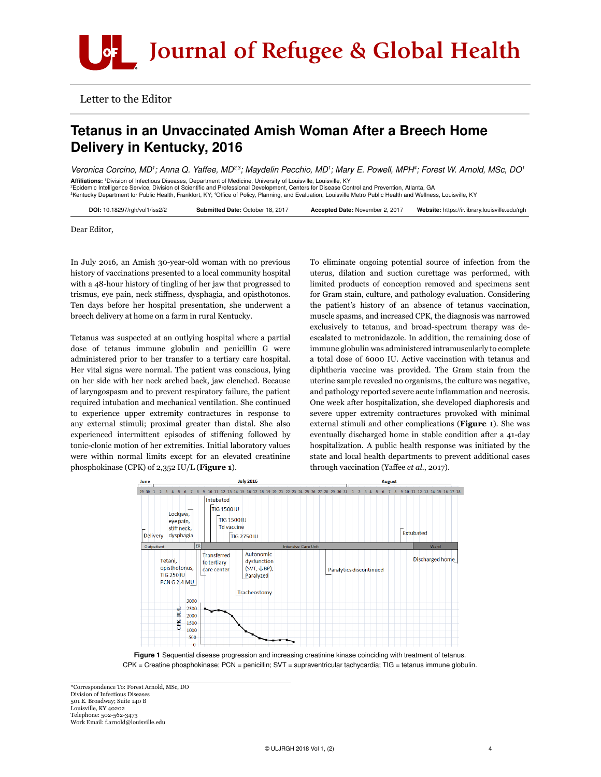

Letter to the Editor

## Tetanus in an Unvaccinated Amish Woman After a Breech Home Delivery in Kentucky, 2016

*Veronica Corcino, MD1 ; Anna Q. Yaffee, MD2,3; Maydelin Pecchio, MD1 ; Mary E. Powell, MPH4 ; Forest W. Arnold, MSc, DO1* Affiliations: 1Division of Infectious Diseases, Department of Medicine, University of Louisville, Louisville, KY 2 Epidemic Intelligence Service, Division of Scientific and Professional Development, Centers for Disease Control and Prevention, Atlanta, GA <sup>3</sup>Kentucky Department for Public Health, Frankfort, KY; <sup>4</sup>Office of Policy, Planning, and Evaluation, Louisville Metro Public Health and Wellness, Louisville, KY

| DOI: 10.18297/rgh/vol1/iss2/2 | Submitted Date: October 18, 2017 | Accepted Date: November 2, 2017 | Website: https://ir.library.louisville.edu/rgh |
|-------------------------------|----------------------------------|---------------------------------|------------------------------------------------|
|                               |                                  |                                 |                                                |

Dear Editor,

In July 2016, an Amish 30-year-old woman with no previous history of vaccinations presented to a local community hospital with a 48-hour history of tingling of her jaw that progressed to trismus, eye pain, neck stiffness, dysphagia, and opisthotonos. Ten days before her hospital presentation, she underwent a breech delivery at home on a farm in rural Kentucky.

Tetanus was suspected at an outlying hospital where a partial dose of tetanus immune globulin and penicillin G were administered prior to her transfer to a tertiary care hospital. Her vital signs were normal. The patient was conscious, lying on her side with her neck arched back, jaw clenched. Because of laryngospasm and to prevent respiratory failure, the patient required intubation and mechanical ventilation. She continued to experience upper extremity contractures in response to any external stimuli; proximal greater than distal. She also experienced intermittent episodes of stiffening followed by tonic-clonic motion of her extremities. Initial laboratory values were within normal limits except for an elevated creatinine phosphokinase (CPK) of 2,352 IU/L (**Figure 1**).

To eliminate ongoing potential source of infection from the uterus, dilation and suction curettage was performed, with limited products of conception removed and specimens sent for Gram stain, culture, and pathology evaluation. Considering the patient's history of an absence of tetanus vaccination, muscle spasms, and increased CPK, the diagnosis was narrowed exclusively to tetanus, and broad-spectrum therapy was deescalated to metronidazole. In addition, the remaining dose of immune globulin was administered intramuscularly to complete a total dose of 6000 IU. Active vaccination with tetanus and diphtheria vaccine was provided. The Gram stain from the uterine sample revealed no organisms, the culture was negative, and pathology reported severe acute inflammation and necrosis. One week after hospitalization, she developed diaphoresis and severe upper extremity contractures provoked with minimal external stimuli and other complications (**Figure 1**). She was eventually discharged home in stable condition after a 41-day hospitalization. A public health response was initiated by the state and local health departments to prevent additional cases through vaccination (Yaffee *et al.*, 2017).





<sup>\*</sup>Correspondence To: Forest Arnold, MSc, DO Division of Infectious Disease 501 E. Broadway; Suite 140 B Louisville, KY 40202 Telephone: 502-562-3473 Work Email: f.arnold@louisville.edu